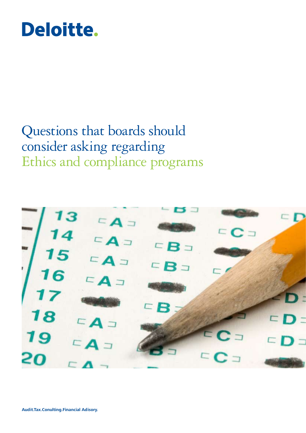## Deloitte.

### Questions that boards should consider asking regarding Ethics and compliance programs

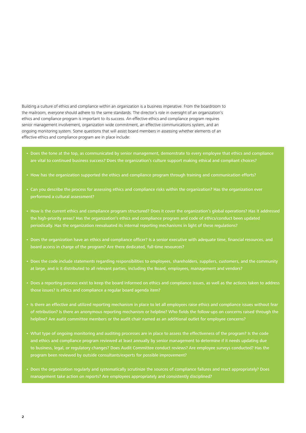Building a culture of ethics and compliance within an organization is a business imperative. From the boardroom to the mailroom, everyone should adhere to the same standards. The director's role in oversight of an organization's ethics and compliance program is important to its success. An effective ethics and compliance program requires senior management involvement, organization wide commitment, an effective communications system, and an ongoing monitoring system. Some questions that will assist board members in assessing whether elements of an effective ethics and compliance program are in place include:

- Does the tone at the top, as communicated by senior management, demonstrate to every employee that ethics and compliance are vital to continued business success? Does the organization's culture support making ethical and compliant choices?
- • How has the organization supported the ethics and compliance program through training and communication efforts?
- • Can you describe the process for assessing ethics and compliance risks within the organization? Has the organization ever performed a cultural assessment?
- How is the current ethics and compliance program structured? Does it cover the organization's global operations? Has it addressed the high-priority areas? Has the organization's ethics and compliance program and code of ethics/conduct been updated periodically. Has the organization reevaluated its internal reporting mechanisms in light of these regulations?
- • Does the organization have an ethics and compliance officer? Is a senior executive with adequate time, financial resources, and board access in charge of the program? Are there dedicated, full-time resources?
- Does the code include statements regarding responsibilities to employees, shareholders, suppliers, customers, and the community at large, and is it distributed to all relevant parties, including the Board, employees, management and vendors?
- Does a reporting process exist to keep the board informed on ethics and compliance issues, as well as the actions taken to address those issues? Is ethics and compliance a regular board agenda item?
- Is there an effective and utilized reporting mechanism in place to let all employees raise ethics and compliance issues without fear of retribution? Is there an anonymous reporting mechanism or helpline? Who fields the follow-ups on concerns raised through the helpline? Are audit committee members or the audit chair named as an additional outlet for employee concerns?
- • What type of ongoing monitoring and auditing processes are in place to assess the effectiveness of the program? Is the code and ethics and compliance program reviewed at least annually by senior management to determine if it needs updating due to business, legal, or regulatory changes? Does Audit Committee conduct reviews? Are employee surveys conducted? Has the program been reviewed by outside consultants/experts for possible improvement?
- Does the organization regularly and systematically scrutinize the sources of compliance failures and react appropriately? Does management take action on reports? Are employees appropriately and consistently disciplined?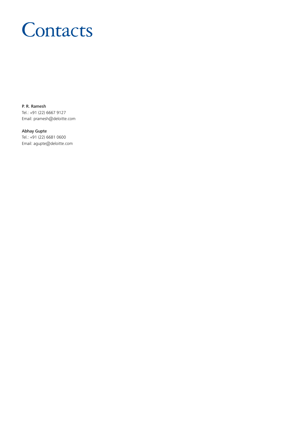# **Contacts**

P. R. Ramesh Tel.: +91 (22) 6667 9127 Email: pramesh@deloitte.com

Abhay Gupte Tel.: +91 (22) 6681 0600 Email: agupte@deloitte.com